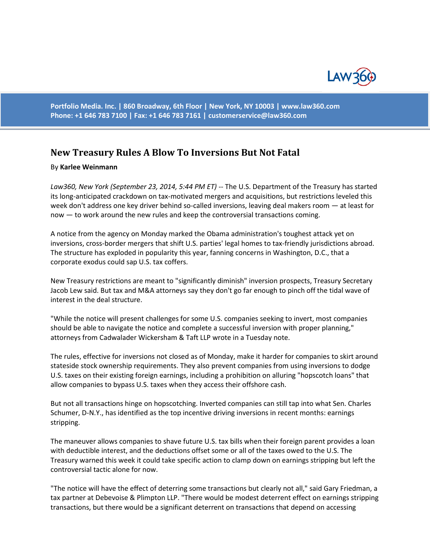

**Portfolio Media. Inc. | 860 Broadway, 6th Floor | New York, NY 10003 | www.law360.com Phone: +1 646 783 7100 | Fax: +1 646 783 7161 | [customerservice@law360.com](mailto:customerservice@law360.com)**

## **New Treasury Rules A Blow To Inversions But Not Fatal**

## By **Karlee Weinmann**

Law360, New York (September 23, 2014, 5:44 PM ET) -- The U.S. Department of the Treasury has started its long-anticipated crackdown on tax-motivated mergers and acquisitions, but restrictions leveled this week don't address one key driver behind so-called inversions, leaving deal makers room — at least for now — to work around the new rules and keep the controversial transactions coming.

A notice from the agency on Monday marked the Obama administration's toughest attack yet on inversions, cross-border mergers that shift U.S. parties' legal homes to tax-friendly jurisdictions abroad. The structure has exploded in popularity this year, fanning concerns in Washington, D.C., that a corporate exodus could sap U.S. tax coffers.

New Treasury restrictions are meant to "significantly diminish" inversion prospects, Treasury Secretary Jacob Lew said. But tax and M&A attorneys say they don't go far enough to pinch off the tidal wave of interest in the deal structure.

"While the notice will present challenges for some U.S. companies seeking to invert, most companies should be able to navigate the notice and complete a successful inversion with proper planning," attorneys from Cadwalader Wickersham & Taft LLP wrote in a Tuesday note.

The rules, effective for inversions not closed as of Monday, make it harder for companies to skirt around stateside stock ownership requirements. They also prevent companies from using inversions to dodge U.S. taxes on their existing foreign earnings, including a prohibition on alluring "hopscotch loans" that allow companies to bypass U.S. taxes when they access their offshore cash.

But not all transactions hinge on hopscotching. Inverted companies can still tap into what Sen. Charles Schumer, D-N.Y., has identified as the top incentive driving inversions in recent months: earnings stripping.

The maneuver allows companies to shave future U.S. tax bills when their foreign parent provides a loan with deductible interest, and the deductions offset some or all of the taxes owed to the U.S. The Treasury warned this week it could take specific action to clamp down on earnings stripping but left the controversial tactic alone for now.

"The notice will have the effect of deterring some transactions but clearly not all," said Gary Friedman, a tax partner at Debevoise & Plimpton LLP. "There would be modest deterrent effect on earnings stripping transactions, but there would be a significant deterrent on transactions that depend on accessing